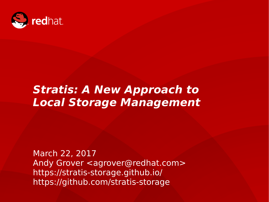

#### **Stratis: A New Approach to Local Storage Management**

Vault 2017 March 22, 2017 Andy Grover <agrover@redhat.com> https://stratis-storage.github.io/ https://github.com/stratis-storage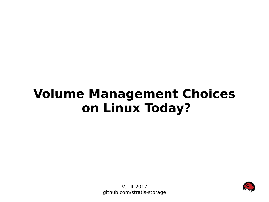### **Volume Management Choices on Linux Today?**



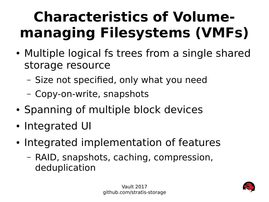# **Characteristics of Volumemanaging Filesystems (VMFs)**

- Multiple logical fs trees from a single shared storage resource
	- Size not specified, only what you need
	- Copy-on-write, snapshots
- Spanning of multiple block devices
- Integrated UI
- Integrated implementation of features
	- RAID, snapshots, caching, compression, deduplication

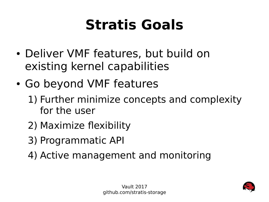### **Stratis Goals**

- Deliver VMF features, but build on existing kernel capabilities
- Go beyond VMF features
	- 1) Further minimize concepts and complexity for the user
	- 2) Maximize flexibility
	- 3) Programmatic API
	- 4) Active management and monitoring

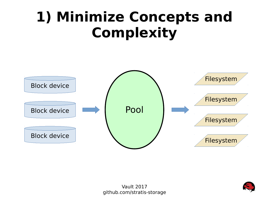### **1) Minimize Concepts and Complexity**



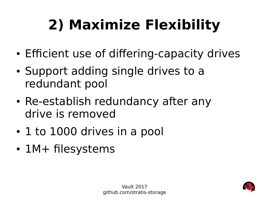# **2) Maximize Flexibility**

- Efficient use of differing-capacity drives
- Support adding single drives to a redundant pool
- Re-establish redundancy after any drive is removed
- 1 to 1000 drives in a pool
- $1M+$  filesystems

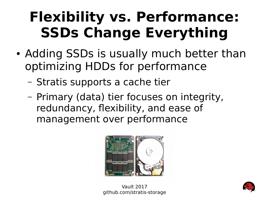### **Flexibility vs. Performance: SSDs Change Everything**

- Adding SSDs is usually much better than optimizing HDDs for performance
	- Stratis supports a cache tier
	- Primary (data) tier focuses on integrity, redundancy, flexibility, and ease of management over performance



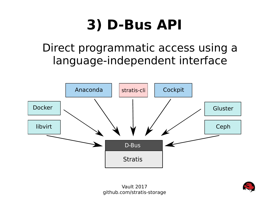### **3) D-Bus API**

#### Direct programmatic access using a language-independent interface



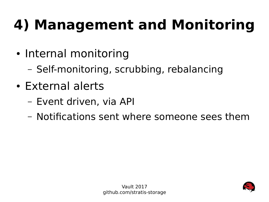# **4) Management and Monitoring**

- Internal monitoring
	- Self-monitoring, scrubbing, rebalancing
- External alerts
	- Event driven, via API
	- Notifications sent where someone sees them

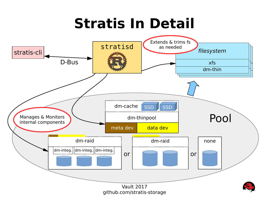### **Stratis In Detail**

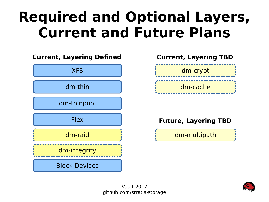### **Required and Optional Layers, Current and Future Plans**





#### **Future, Layering TBD**



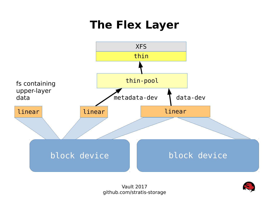#### **The Flex Layer**



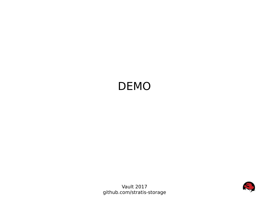#### DEMO



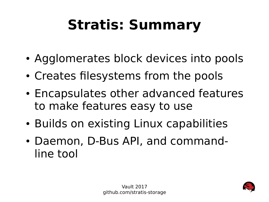# **Stratis: Summary**

- Agglomerates block devices into pools
- Creates filesystems from the pools
- Encapsulates other advanced features to make features easy to use
- Builds on existing Linux capabilities
- Daemon, D-Bus API, and commandline tool

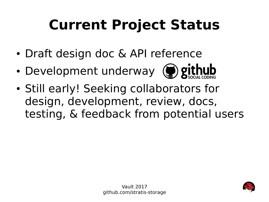# **Current Project Status**

- Draft design doc & API reference
- Development underway (a) github
- Still early! Seeking collaborators for design, development, review, docs, testing, & feedback from potential users

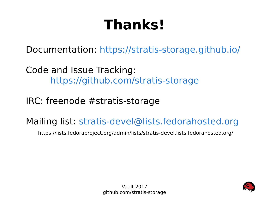# **Thanks!**

Documentation: <https://stratis-storage.github.io/>

Code and Issue Tracking: <https://github.com/stratis-storage>

IRC: freenode #stratis-storage

Mailing list: [stratis-devel@lists.fedorahosted.org](mailto:stratis-devel@lists.fedorahosted.org)

https://lists.fedoraproject.org/admin/lists/stratis-devel.lists.fedorahosted.org/

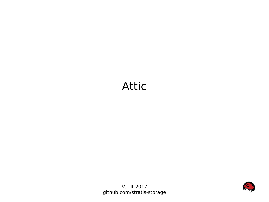#### Attic



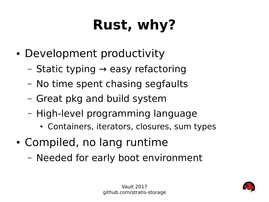# **Rust, why?**

- Development productivity
	- $-$  Static typing  $\rightarrow$  easy refactoring
	- No time spent chasing segfaults
	- Great pkg and build system
	- High-level programming language
		- Containers, iterators, closures, sum types
- Compiled, no lang runtime
	- Needed for early boot environment

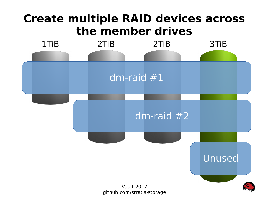#### **Create multiple RAID devices across the member drives**

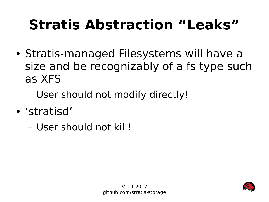# **Stratis Abstraction "Leaks"**

- Stratis-managed Filesystems will have a size and be recognizably of a fs type such as XFS
	- User should not modify directly!
- 'stratisd'
	- User should not kill!

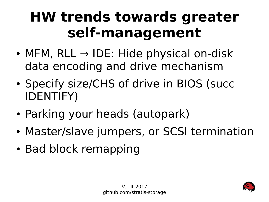### **HW trends towards greater self-management**

- MFM, RLL  $\rightarrow$  IDE: Hide physical on-disk data encoding and drive mechanism
- Specify size/CHS of drive in BIOS (succ IDENTIFY)
- Parking your heads (autopark)
- Master/slave jumpers, or SCSI termination
- Bad block remapping

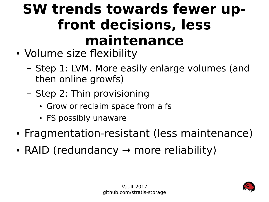### **SW trends towards fewer upfront decisions, less maintenance**

- Volume size flexibility
	- Step 1: LVM. More easily enlarge volumes (and then online growfs)
	- Step 2: Thin provisioning
		- Grow or reclaim space from a fs
		- FS possibly unaware
- Fragmentation-resistant (less maintenance)
- RAID (redundancy  $\rightarrow$  more reliability)